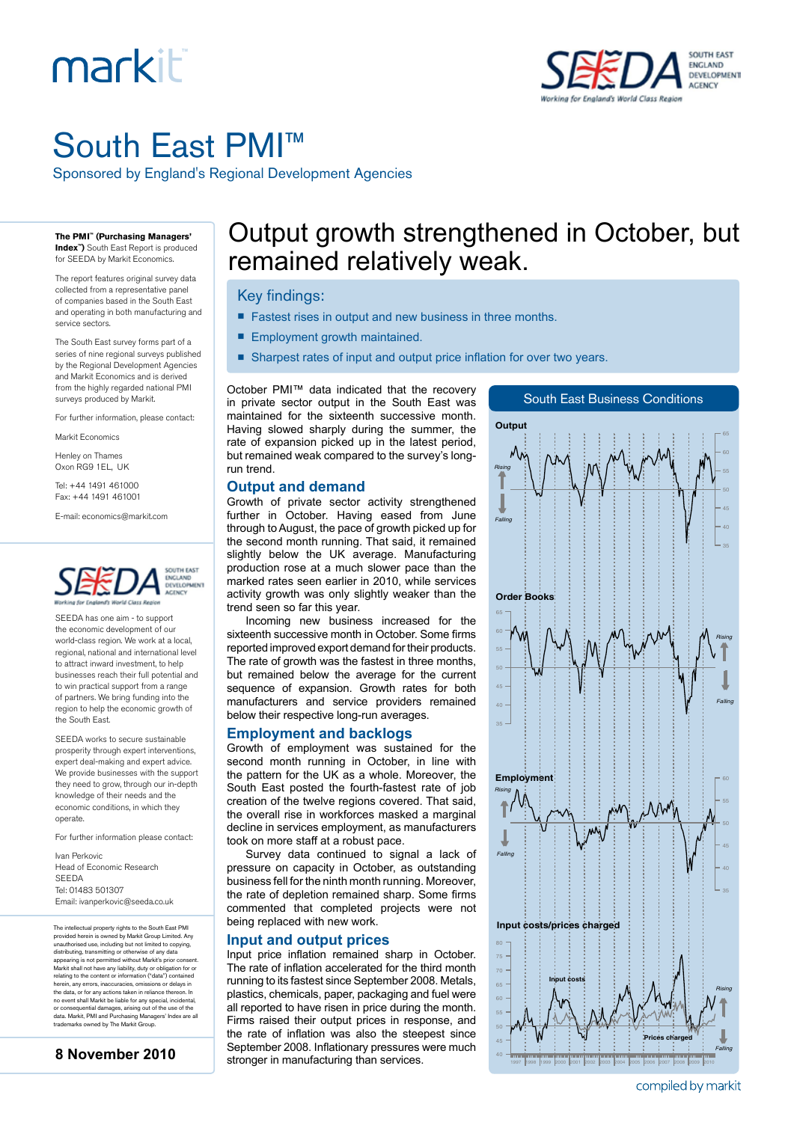## markiti



## South East PMI™

Sponsored by England's Regional Development Agencies

**The PMI™ (Purchasing Managers' Index™)** South East Report is produced

for SEEDA by Markit Economics.

The report features original survey data collected from a representative panel of companies based in the South East and operating in both manufacturing and service sectors.

The South East survey forms part of a series of nine regional surveys published by the Regional Development Agencies and Markit Economics and is derived from the highly regarded national PMI surveys produced by Markit.

For further information, please contact:

Markit Economics

Henley on Thames Oxon RG9 1EL, UK

Tel: +44 1491 461000 Fax: +44 1491 461001

E-mail: economics@markit.com



SEEDA has one aim - to support the economic development of our world-class region. We work at a local, regional, national and international level to attract inward investment, to help businesses reach their full potential and to win practical support from a range of partners. We bring funding into the region to help the economic growth of the South East.

SEEDA works to secure sustainable prosperity through expert interventions, expert deal-making and expert advice. We provide businesses with the support they need to grow, through our in-depth knowledge of their needs and the economic conditions, in which they operate.

For further information please contact:

Ivan Perkovic Head of Economic Research SEEDA Tel: 01483 501307 Email: ivanperkovic@seeda.co.uk

The intellectual property rights to the South East PMI provided herein is owned by Markit Group Limited. Any<br>unauthorised use, including but not limited to copying,<br>distributing, transmitting or otherwise of any data<br>appearing is not permitted without Markit's prior consent.<br>M herein, any errors, inaccuracies, omissions or delays in the data, or for any actions taken in reliance thereon. In no event shall Markit be liable for any special, incidental, or consequential damages, arising out of the use of the data. Markit, PMI and Purchasing Managers' Index are all trademarks owned by The Markit Group.

**8 November 2010**

# *Rising Falling* 1997 1998 1999 2000 2001 2002 2003 2004 2005 2006 2007 2008 2009 2010 40 45 80



### Output growth strengthened in October, but remained relatively weak.

#### Key findings:

- Fastest rises in output and new business in three months.
- Employment growth maintained.
- Sharpest rates of input and output price inflation for over two years.

October PMI™ data indicated that the recovery in private sector output in the South East was maintained for the sixteenth successive month. Having slowed sharply during the summer, the rate of expansion picked up in the latest period, but remained weak compared to the survey's longrun trend.

#### **Output and demand**

Growth of private sector activity strengthened further in October. Having eased from June through to August, the pace of growth picked up for the second month running. That said, it remained slightly below the UK average. Manufacturing production rose at a much slower pace than the marked rates seen earlier in 2010, while services activity growth was only slightly weaker than the trend seen so far this year.

Incoming new business increased for the sixteenth successive month in October. Some firms reported improved export demand for their products. The rate of growth was the fastest in three months, but remained below the average for the current sequence of expansion. Growth rates for both manufacturers and service providers remained below their respective long-run averages.

#### **Employment and backlogs**

Growth of employment was sustained for the second month running in October, in line with the pattern for the UK as a whole. Moreover, the South East posted the fourth-fastest rate of job creation of the twelve regions covered. That said, the overall rise in workforces masked a marginal decline in services employment, as manufacturers took on more staff at a robust pace.

Survey data continued to signal a lack of pressure on capacity in October, as outstanding business fell for the ninth month running. Moreover, the rate of depletion remained sharp. Some firms commented that completed projects were not being replaced with new work.

#### **Input and output prices**

Input price inflation remained sharp in October. The rate of inflation accelerated for the third month running to its fastest since September 2008. Metals, plastics, chemicals, paper, packaging and fuel were all reported to have risen in price during the month. Firms raised their output prices in response, and the rate of inflation was also the steepest since September 2008. Inflationary pressures were much stronger in manufacturing than services.

compiled by markit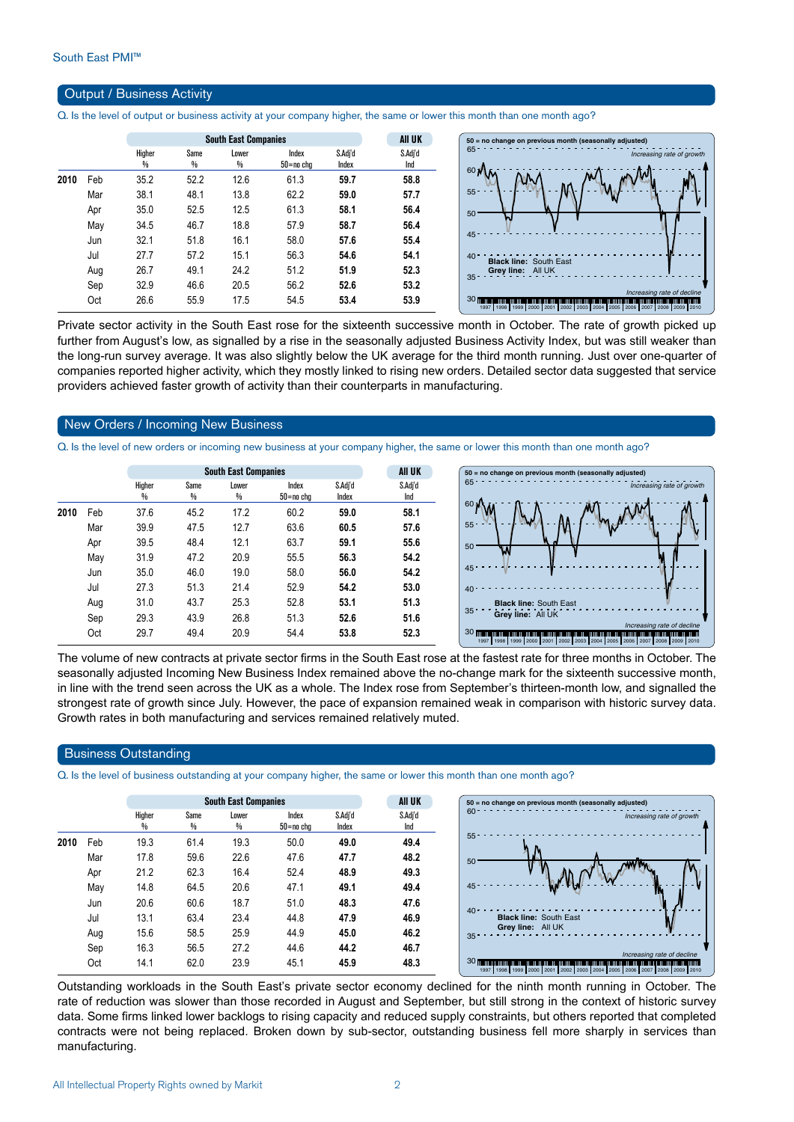#### Output / Business Activity

Q. Is the level of output or business activity at your company higher, the same or lower this month than one month ago?

|      |     |             |           | <b>South East Companies</b> |                    |                  | <b>All UK</b>  | $50$ = no change on previous month (seasonally adjusted)                                                                                                                                                                                                                     |
|------|-----|-------------|-----------|-----------------------------|--------------------|------------------|----------------|------------------------------------------------------------------------------------------------------------------------------------------------------------------------------------------------------------------------------------------------------------------------------|
|      |     | Higher<br>% | Same<br>% | Lower<br>%                  | Index<br>50=no chg | S.Adj'd<br>Index | S.Adj'd<br>Ind | Increasing rate of growth                                                                                                                                                                                                                                                    |
| 2010 | Feb | 35.2        | 52.2      | 12.6                        | 61.3               | 59.7             | 58.8           | 60 N                                                                                                                                                                                                                                                                         |
|      | Mar | 38.1        | 48.1      | 13.8                        | 62.2               | 59.0             | 57.7           | $55 -$                                                                                                                                                                                                                                                                       |
|      | Apr | 35.0        | 52.5      | 12.5                        | 61.3               | 58.1             | 56.4           | 50                                                                                                                                                                                                                                                                           |
|      | May | 34.5        | 46.7      | 18.8                        | 57.9               | 58.7             | 56.4           |                                                                                                                                                                                                                                                                              |
|      | Jun | 32.1        | 51.8      | 16.1                        | 58.0               | 57.6             | 55.4           | 45                                                                                                                                                                                                                                                                           |
|      | Jul | 27.7        | 57.2      | 15.1                        | 56.3               | 54.6             | 54.1           | $40 -$<br><b>Black line: South East</b>                                                                                                                                                                                                                                      |
|      | Aug | 26.7        | 49.1      | 24.2                        | 51.2               | 51.9             | 52.3           | Grey line: All UK                                                                                                                                                                                                                                                            |
|      | Sep | 32.9        | 46.6      | 20.5                        | 56.2               | 52.6             | 53.2           |                                                                                                                                                                                                                                                                              |
|      | Oct | 26.6        | 55.9      | 17.5                        | 54.5               | 53.4             | 53.9           | Increasing rate of decline<br>30 <sub>III</sub><br><u> INITIAL ANNI INITIAL ANN AN DEILLICH AN DER BERGEN AUCH AM DER FRAMEN IN DER FRAMEN IN DER FRAMEN IN DER FRAME</u><br>1997   1998   1999   2000   2001   2002   2003   2004   2005   2006   2007   2008   2009   2010 |

Private sector activity in the South East rose for the sixteenth successive month in October. The rate of growth picked up further from August's low, as signalled by a rise in the seasonally adjusted Business Activity Index, but was still weaker than the long-run survey average. It was also slightly below the UK average for the third month running. Just over one-quarter of companies reported higher activity, which they mostly linked to rising new orders. Detailed sector data suggested that service providers achieved faster growth of activity than their counterparts in manufacturing.

#### New Orders / Incoming New Business

Q. Is the level of new orders or incoming new business at your company higher, the same or lower this month than one month ago?

|     |                         |           |                        |                    |                             | <b>AII UK</b>  |
|-----|-------------------------|-----------|------------------------|--------------------|-----------------------------|----------------|
|     | Higher<br>$\frac{0}{0}$ | Same<br>% | Lower<br>$\frac{0}{0}$ | Index<br>50=no cha | S.Adj'd<br>Index            | S.Adi'd<br>Ind |
| Feb | 37.6                    | 45.2      | 17.2                   | 60.2               | 59.0                        | 58.1           |
| Mar | 39.9                    | 47.5      | 12.7                   | 63.6               | 60.5                        | 57.6           |
| Apr | 39.5                    | 48.4      | 12.1                   | 63.7               | 59.1                        | 55.6           |
| May | 31.9                    | 47.2      | 20.9                   | 55.5               | 56.3                        | 54.2           |
| Jun | 35.0                    | 46.0      | 19.0                   | 58.0               | 56.0                        | 54.2           |
| Jul | 27.3                    | 51.3      | 21.4                   | 52.9               | 54.2                        | 53.0           |
| Aug | 31.0                    | 43.7      | 25.3                   | 52.8               | 53.1                        | 51.3           |
| Sep | 29.3                    | 43.9      | 26.8                   | 51.3               | 52.6                        | 51.6           |
| Oct | 29.7                    | 49.4      | 20.9                   | 54.4               | 53.8                        | 523            |
|     |                         |           |                        |                    | <b>South East Companies</b> |                |



The volume of new contracts at private sector firms in the South East rose at the fastest rate for three months in October. The seasonally adjusted Incoming New Business Index remained above the no-change mark for the sixteenth successive month, in line with the trend seen across the UK as a whole. The Index rose from September's thirteen-month low, and signalled the strongest rate of growth since July. However, the pace of expansion remained weak in comparison with historic survey data. Growth rates in both manufacturing and services remained relatively muted.

#### Business Outstanding

Q. Is the level of business outstanding at your company higher, the same or lower this month than one month ago?

|      |     |             |           | <b>South East Companies</b> |                        |                  | All UK         |
|------|-----|-------------|-----------|-----------------------------|------------------------|------------------|----------------|
|      |     | Higher<br>% | Same<br>₩ | Lower<br>%                  | Index<br>$50 = no$ chg | S.Adj'd<br>Index | S.Adj'd<br>Ind |
| 2010 | Feb | 19.3        | 61.4      | 19.3                        | 50.0                   | 49.0             | 49.4           |
|      | Mar | 17.8        | 59.6      | 22.6                        | 47.6                   | 47.7             | 48.2           |
|      | Apr | 21.2        | 62.3      | 16.4                        | 52.4                   | 48.9             | 49.3           |
|      | May | 14.8        | 64.5      | 20.6                        | 47.1                   | 49.1             | 49.4           |
|      | Jun | 20.6        | 60.6      | 18.7                        | 51.0                   | 48.3             | 47.6           |
|      | Jul | 13.1        | 63.4      | 23.4                        | 44.8                   | 47.9             | 46.9           |
|      | Aug | 15.6        | 58.5      | 25.9                        | 44.9                   | 45.0             | 46.2           |
|      | Sep | 16.3        | 56.5      | 27.2                        | 44.6                   | 44.2             | 46.7           |
|      | Oct | 14.1        | 62.0      | 23.9                        | 45.1                   | 45.9             | 48.3           |

Outstanding workloads in the South East's private sector economy declined for the ninth month running in October. The rate of reduction was slower than those recorded in August and September, but still strong in the context of historic survey data. Some firms linked lower backlogs to rising capacity and reduced supply constraints, but others reported that completed contracts were not being replaced. Broken down by sub-sector, outstanding business fell more sharply in services than manufacturing.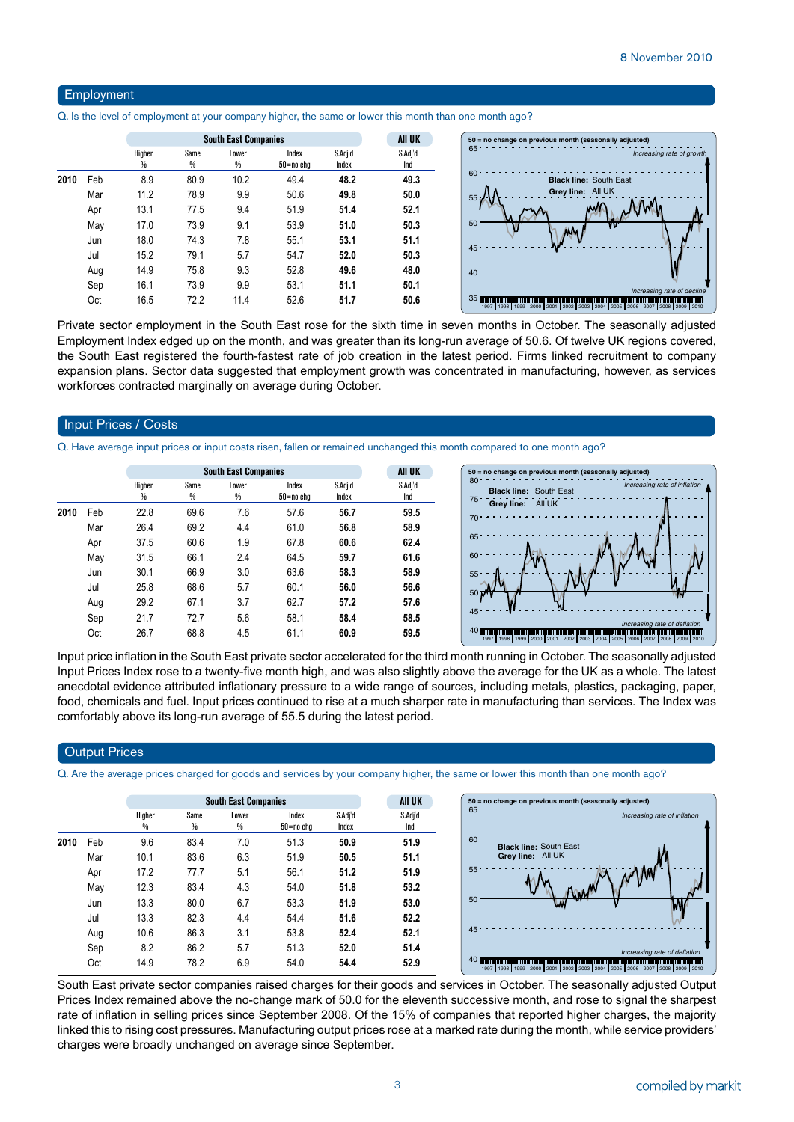#### Employment

Q. Is the level of employment at your company higher, the same or lower this month than one month ago?

|      |     |             |           | <b>South East Companies</b> |                    |                  | <b>AII UK</b>  |
|------|-----|-------------|-----------|-----------------------------|--------------------|------------------|----------------|
|      |     | Higher<br>% | Same<br>% | Lower<br>%                  | Index<br>50=no chg | S.Adj'd<br>Index | S.Adj'd<br>Ind |
| 2010 | Feb | 8.9         | 80.9      | 10.2                        | 49.4               | 48.2             | 49.3           |
|      | Mar | 11.2        | 78.9      | 9.9                         | 50.6               | 49.8             | 50.0           |
|      | Apr | 13.1        | 77.5      | 9.4                         | 51.9               | 51.4             | 52.1           |
|      | May | 17.0        | 73.9      | 9.1                         | 53.9               | 51.0             | 50.3           |
|      | Jun | 18.0        | 74.3      | 7.8                         | 55.1               | 53.1             | 51.1           |
|      | Jul | 15.2        | 79.1      | 5.7                         | 54.7               | 52.0             | 50.3           |
|      | Aug | 14.9        | 75.8      | 9.3                         | 52.8               | 49.6             | 48.0           |
|      | Sep | 16.1        | 73.9      | 9.9                         | 53.1               | 51.1             | 50.1           |
|      | Oct | 16.5        | 72.2      | 11.4                        | 52.6               | 51.7             | 50.6           |

Private sector employment in the South East rose for the sixth time in seven months in October. The seasonally adjusted Employment Index edged up on the month, and was greater than its long-run average of 50.6. Of twelve UK regions covered, the South East registered the fourth-fastest rate of job creation in the latest period. Firms linked recruitment to company expansion plans. Sector data suggested that employment growth was concentrated in manufacturing, however, as services workforces contracted marginally on average during October.

#### Input Prices / Costs

Q. Have average input prices or input costs risen, fallen or remained unchanged this month compared to one month ago?

|      |     |             |           | <b>South East Companies</b> |                    |                  | AII UK         | $50 = no$ cha                         |
|------|-----|-------------|-----------|-----------------------------|--------------------|------------------|----------------|---------------------------------------|
|      |     | Higher<br>% | Same<br>% | Lower<br>$\frac{0}{0}$      | Index<br>50=no cha | S.Adj'd<br>Index | S.Adj'd<br>Ind | 80<br><b>Blac</b><br>$75 -$           |
| 2010 | Feb | 22.8        | 69.6      | 7.6                         | 57.6               | 56.7             | 59.5           | Grey<br>$70 -$                        |
|      | Mar | 26.4        | 69.2      | 4.4                         | 61.0               | 56.8             | 58.9           |                                       |
|      | Apr | 37.5        | 60.6      | 1.9                         | 67.8               | 60.6             | 62.4           | 65                                    |
|      | May | 31.5        | 66.1      | 2.4                         | 64.5               | 59.7             | 61.6           | 60                                    |
|      | Jun | 30.1        | 66.9      | 3.0                         | 63.6               | 58.3             | 58.9           | 55                                    |
|      | Jul | 25.8        | 68.6      | 5.7                         | 60.1               | 56.0             | 56.6           | 50 D                                  |
|      | Aug | 29.2        | 67.1      | 3.7                         | 62.7               | 57.2             | 57.6           |                                       |
|      | Sep | 21.7        | 72.7      | 5.6                         | 58.1               | 58.4             | 58.5           | $45 -$                                |
|      | Oct | 26.7        | 68.8      | 4.5                         | 61.1               | 60.9             | 59.5           | 40<br><b>MUNICIPALITY</b><br>1997 199 |
|      |     |             |           |                             |                    |                  |                |                                       |



Input price inflation in the South East private sector accelerated for the third month running in October. The seasonally adjusted Input Prices Index rose to a twenty-five month high, and was also slightly above the average for the UK as a whole. The latest anecdotal evidence attributed inflationary pressure to a wide range of sources, including metals, plastics, packaging, paper, food, chemicals and fuel. Input prices continued to rise at a much sharper rate in manufacturing than services. The Index was comfortably above its long-run average of 55.5 during the latest period.

#### **Output Prices**

Q. Are the average prices charged for goods and services by your company higher, the same or lower this month than one month ago?

|      |     |             |           | <b>South East Companies</b> |                        |                  | <b>AII UK</b>  |
|------|-----|-------------|-----------|-----------------------------|------------------------|------------------|----------------|
|      |     | Higher<br>% | Same<br>% | Lower<br>%                  | Index<br>$50 = no$ chg | S.Adj'd<br>Index | S.Adj'd<br>Ind |
| 2010 | Feb | 9.6         | 83.4      | 7.0                         | 51.3                   | 50.9             | 51.9           |
|      | Mar | 10.1        | 83.6      | 6.3                         | 51.9                   | 50.5             | 51.1           |
|      | Apr | 17.2        | 77.7      | 5.1                         | 56.1                   | 51.2             | 51.9           |
|      | May | 12.3        | 83.4      | 4.3                         | 54.0                   | 51.8             | 53.2           |
|      | Jun | 13.3        | 80.0      | 6.7                         | 53.3                   | 51.9             | 53.0           |
|      | Jul | 13.3        | 82.3      | 4.4                         | 54.4                   | 51.6             | 52.2           |
|      | Aug | 10.6        | 86.3      | 3.1                         | 53.8                   | 52.4             | 52.1           |
|      | Sep | 8.2         | 86.2      | 5.7                         | 51.3                   | 52.0             | 51.4           |
|      | Oct | 14.9        | 78.2      | 6.9                         | 54.0                   | 54.4             | 52.9           |

South East private sector companies raised charges for their goods and services in October. The seasonally adjusted Output Prices Index remained above the no-change mark of 50.0 for the eleventh successive month, and rose to signal the sharpest rate of inflation in selling prices since September 2008. Of the 15% of companies that reported higher charges, the majority linked this to rising cost pressures. Manufacturing output prices rose at a marked rate during the month, while service providers' charges were broadly unchanged on average since September.